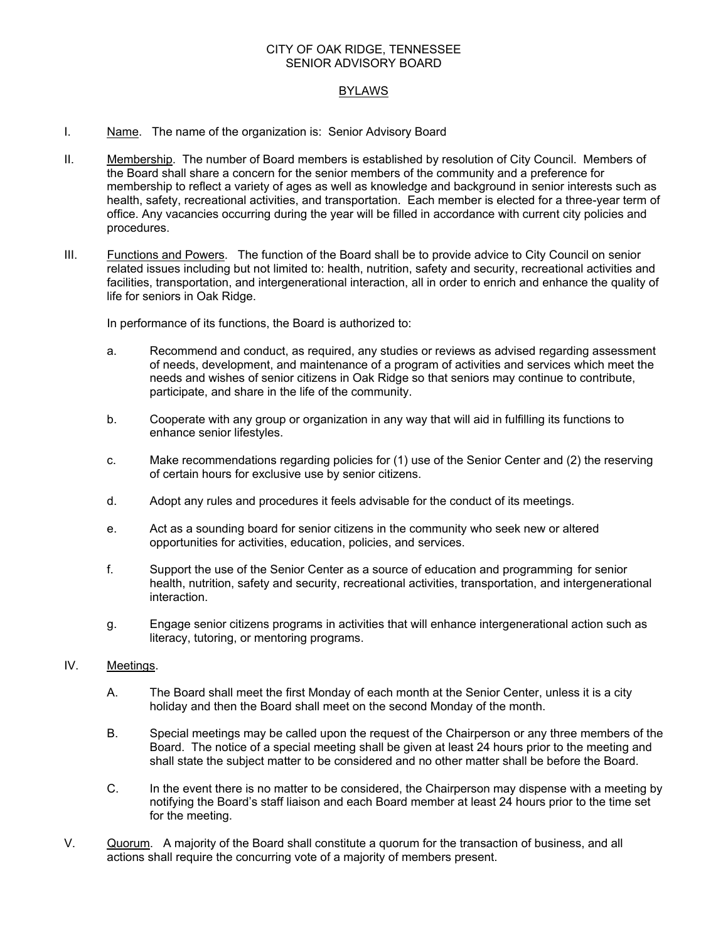### CITY OF OAK RIDGE, TENNESSEE SENIOR ADVISORY BOARD

# BYLAWS

- I. Name. The name of the organization is: Senior Advisory Board
- II. Membership. The number of Board members is established by resolution of City Council. Members of the Board shall share a concern for the senior members of the community and a preference for membership to reflect a variety of ages as well as knowledge and background in senior interests such as health, safety, recreational activities, and transportation. Each member is elected for a three-year term of office. Any vacancies occurring during the year will be filled in accordance with current city policies and procedures.
- III. Functions and Powers. The function of the Board shall be to provide advice to City Council on senior related issues including but not limited to: health, nutrition, safety and security, recreational activities and facilities, transportation, and intergenerational interaction, all in order to enrich and enhance the quality of life for seniors in Oak Ridge.

In performance of its functions, the Board is authorized to:

- a. Recommend and conduct, as required, any studies or reviews as advised regarding assessment of needs, development, and maintenance of a program of activities and services which meet the needs and wishes of senior citizens in Oak Ridge so that seniors may continue to contribute, participate, and share in the life of the community.
- b. Cooperate with any group or organization in any way that will aid in fulfilling its functions to enhance senior lifestyles.
- c. Make recommendations regarding policies for (1) use of the Senior Center and (2) the reserving of certain hours for exclusive use by senior citizens.
- d. Adopt any rules and procedures it feels advisable for the conduct of its meetings.
- e. Act as a sounding board for senior citizens in the community who seek new or altered opportunities for activities, education, policies, and services.
- f. Support the use of the Senior Center as a source of education and programming for senior health, nutrition, safety and security, recreational activities, transportation, and intergenerational interaction.
- g. Engage senior citizens programs in activities that will enhance intergenerational action such as literacy, tutoring, or mentoring programs.

### IV. Meetings.

- A. The Board shall meet the first Monday of each month at the Senior Center, unless it is a city holiday and then the Board shall meet on the second Monday of the month.
- B. Special meetings may be called upon the request of the Chairperson or any three members of the Board. The notice of a special meeting shall be given at least 24 hours prior to the meeting and shall state the subject matter to be considered and no other matter shall be before the Board.
- C. In the event there is no matter to be considered, the Chairperson may dispense with a meeting by notifying the Board's staff liaison and each Board member at least 24 hours prior to the time set for the meeting.
- V. Quorum. A majority of the Board shall constitute a quorum for the transaction of business, and all actions shall require the concurring vote of a majority of members present.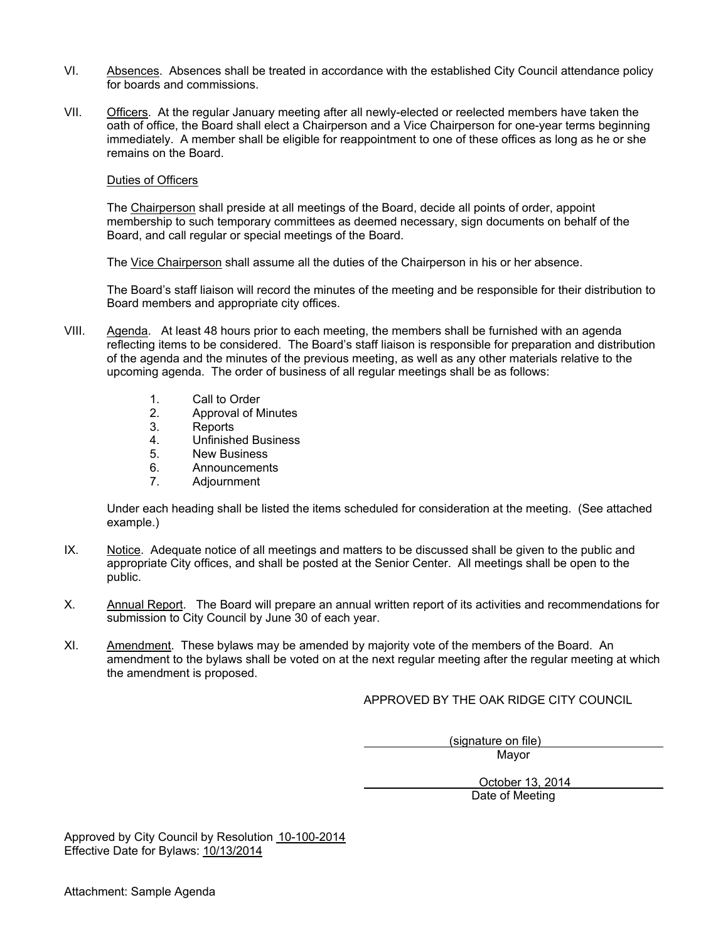- VI. Absences. Absences shall be treated in accordance with the established City Council attendance policy for boards and commissions.
- VII. Officers. At the regular January meeting after all newly-elected or reelected members have taken the oath of office, the Board shall elect a Chairperson and a Vice Chairperson for one-year terms beginning immediately. A member shall be eligible for reappointment to one of these offices as long as he or she remains on the Board.

#### Duties of Officers

The Chairperson shall preside at all meetings of the Board, decide all points of order, appoint membership to such temporary committees as deemed necessary, sign documents on behalf of the Board, and call regular or special meetings of the Board.

The Vice Chairperson shall assume all the duties of the Chairperson in his or her absence.

The Board's staff liaison will record the minutes of the meeting and be responsible for their distribution to Board members and appropriate city offices.

- VIII. Agenda. At least 48 hours prior to each meeting, the members shall be furnished with an agenda reflecting items to be considered. The Board's staff liaison is responsible for preparation and distribution of the agenda and the minutes of the previous meeting, as well as any other materials relative to the upcoming agenda. The order of business of all regular meetings shall be as follows:
	- 1. Call to Order
	- 2. Approval of Minutes<br>3. Reports
	- **Reports**
	- 4. Unfinished Business
	- 5. New Business
	- 6. Announcements
	- 7. Adjournment

Under each heading shall be listed the items scheduled for consideration at the meeting. (See attached example.)

- IX. Notice. Adequate notice of all meetings and matters to be discussed shall be given to the public and appropriate City offices, and shall be posted at the Senior Center. All meetings shall be open to the public.
- X. Annual Report. The Board will prepare an annual written report of its activities and recommendations for submission to City Council by June 30 of each year.
- XI. Amendment. These bylaws may be amended by majority vote of the members of the Board. An amendment to the bylaws shall be voted on at the next regular meeting after the regular meeting at which the amendment is proposed.

APPROVED BY THE OAK RIDGE CITY COUNCIL

 (signature on file) Mayor

> October 13, 2014 Date of Meeting

Approved by City Council by Resolution 10-100-2014 Effective Date for Bylaws: 10/13/2014